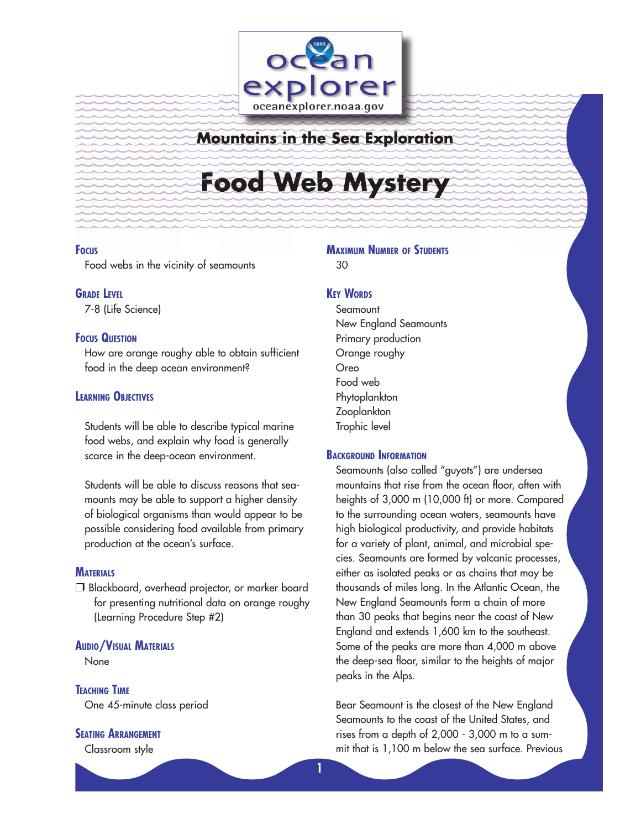

## **Mountains in the Sea Exploration**

# **y Food Web Mystery Myster**

#### **FOCUS**

Food webs in the vicinity of seamounts

#### **GRADE LEVEL**

7-8 (Life Science)

#### **FOCUS QUESTION**

How are orange roughy able to obtain sufficient food in the deep ocean environment?

#### **LEARNING OBJECTIVES**

Students will be able to describe typical marine food webs, and explain why food is generally scarce in the deep-ocean environment.

Students will be able to discuss reasons that seamounts may be able to support a higher density of biological organisms than would appear to be possible considering food available from primary production at the ocean's surface.

#### **MATERIALS**

 Blackboard, overhead projector, or marker board for presenting nutritional data on orange roughy (Learning Procedure Step #2)

#### **AUDIO/VISUAL MATERIALS**

None

**TEACHING TIME** One 45-minute class period

#### **SEATING ARRANGEMENT**

Classroom style

#### **MAXIMUM NUMBER OF STUDENTS** 30

**KEY WORDS**

**Seamount** New England Seamounts Primary production Orange roughy Oreo Food web Phytoplankton **Zooplankton** Trophic level

#### **BACKGROUND INFORMATION**

**1**

Seamounts (also called "guyots") are undersea mountains that rise from the ocean floor, often with heights of 3,000 m (10,000 ft) or more. Compared to the surrounding ocean waters, seamounts have high biological productivity, and provide habitats for a variety of plant, animal, and microbial species. Seamounts are formed by volcanic processes, either as isolated peaks or as chains that may be thousands of miles long. In the Atlantic Ocean, the New England Seamounts form a chain of more than 30 peaks that begins near the coast of New England and extends 1,600 km to the southeast. Some of the peaks are more than 4,000 m above the deep-sea floor, similar to the heights of major peaks in the Alps.

Bear Seamount is the closest of the New England Seamounts to the coast of the United States, and rises from a depth of 2,000 - 3,000 m to a summit that is 1,100 m below the sea surface. Previous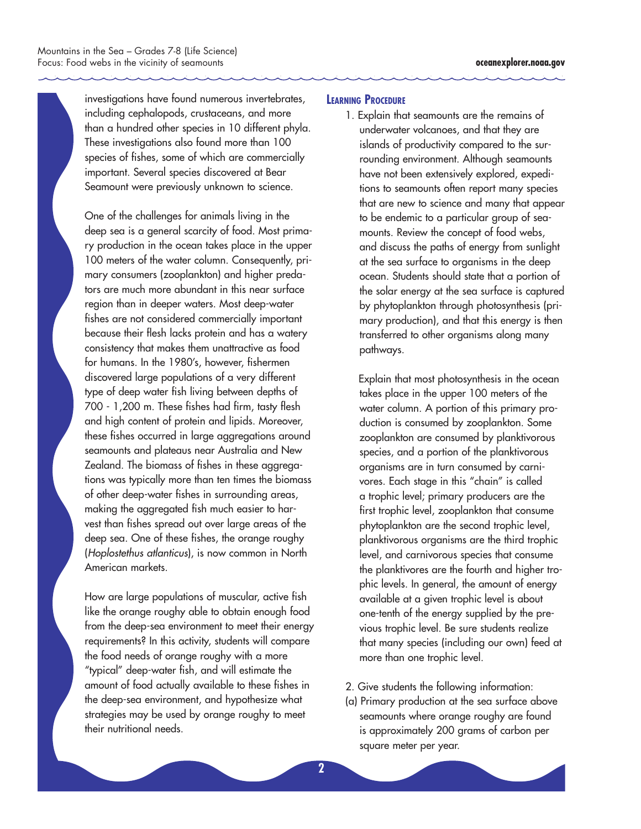investigations have found numerous invertebrates, including cephalopods, crustaceans, and more than a hundred other species in 10 different phyla. These investigations also found more than 100 species of fishes, some of which are commercially important. Several species discovered at Bear Seamount were previously unknown to science.

One of the challenges for animals living in the deep sea is a general scarcity of food. Most primary production in the ocean takes place in the upper 100 meters of the water column. Consequently, primary consumers (zooplankton) and higher predators are much more abundant in this near surface region than in deeper waters. Most deep-water fishes are not considered commercially important because their flesh lacks protein and has a watery consistency that makes them unattractive as food for humans. In the 1980's, however, fishermen discovered large populations of a very different type of deep water fish living between depths of 700 - 1,200 m. These fishes had firm, tasty flesh and high content of protein and lipids. Moreover, these fishes occurred in large aggregations around seamounts and plateaus near Australia and New Zealand. The biomass of fishes in these aggregations was typically more than ten times the biomass of other deep-water fishes in surrounding areas, making the aggregated fish much easier to harvest than fishes spread out over large areas of the deep sea. One of these fishes, the orange roughy (Hoplostethus atlanticus), is now common in North American markets.

How are large populations of muscular, active fish like the orange roughy able to obtain enough food from the deep-sea environment to meet their energy requirements? In this activity, students will compare the food needs of orange roughy with a more "typical" deep-water fish, and will estimate the amount of food actually available to these fishes in the deep-sea environment, and hypothesize what strategies may be used by orange roughy to meet their nutritional needs.

#### **LEARNING PROCEDURE**

1. Explain that seamounts are the remains of underwater volcanoes, and that they are islands of productivity compared to the surrounding environment. Although seamounts have not been extensively explored, expeditions to seamounts often report many species that are new to science and many that appear to be endemic to a particular group of seamounts. Review the concept of food webs, and discuss the paths of energy from sunlight at the sea surface to organisms in the deep ocean. Students should state that a portion of the solar energy at the sea surface is captured by phytoplankton through photosynthesis (primary production), and that this energy is then transferred to other organisms along many pathways.

Explain that most photosynthesis in the ocean takes place in the upper 100 meters of the water column. A portion of this primary production is consumed by zooplankton. Some zooplankton are consumed by planktivorous species, and a portion of the planktivorous organisms are in turn consumed by carnivores. Each stage in this "chain" is called a trophic level; primary producers are the first trophic level, zooplankton that consume phytoplankton are the second trophic level, planktivorous organisms are the third trophic level, and carnivorous species that consume the planktivores are the fourth and higher trophic levels. In general, the amount of energy available at a given trophic level is about one-tenth of the energy supplied by the previous trophic level. Be sure students realize that many species (including our own) feed at more than one trophic level.

- 2. Give students the following information:
- (a) Primary production at the sea surface above seamounts where orange roughy are found is approximately 200 grams of carbon per square meter per year.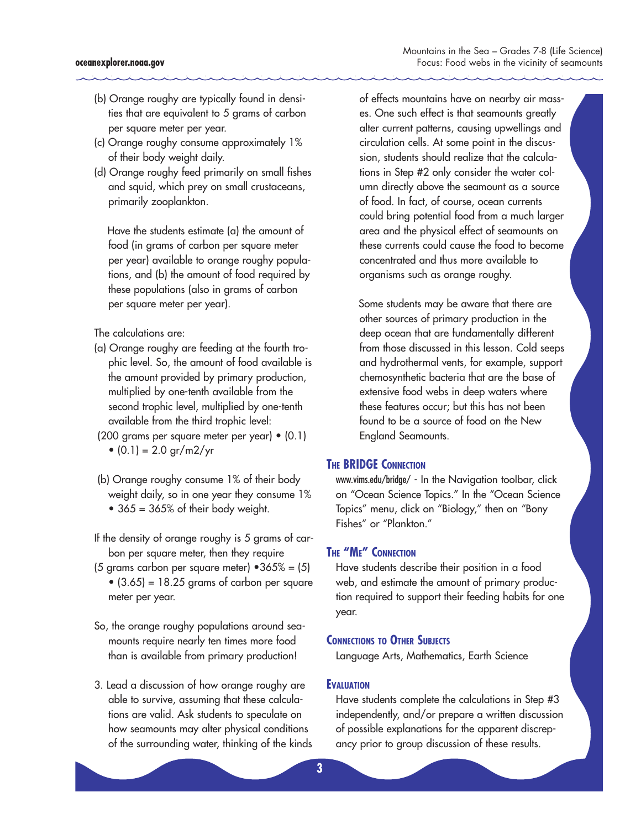- (b) Orange roughy are typically found in densities that are equivalent to 5 grams of carbon per square meter per year.
- (c) Orange roughy consume approximately 1% of their body weight daily.
- (d) Orange roughy feed primarily on small fishes and squid, which prey on small crustaceans, primarily zooplankton.

Have the students estimate (a) the amount of food (in grams of carbon per square meter per year) available to orange roughy populations, and (b) the amount of food required by these populations (also in grams of carbon per square meter per year).

The calculations are:

- (a) Orange roughy are feeding at the fourth trophic level. So, the amount of food available is the amount provided by primary production, multiplied by one-tenth available from the second trophic level, multiplied by one-tenth available from the third trophic level:
- (200 grams per square meter per year) (0.1) •  $(0.1) = 2.0$  gr/m2/yr
- (b) Orange roughy consume 1% of their body weight daily, so in one year they consume 1% •  $365 = 365\%$  of their body weight.
- If the density of orange roughy is 5 grams of carbon per square meter, then they require
- (5 grams carbon per square meter)  $\cdot 365\% = (5)$  $\bullet$  (3.65) = 18.25 grams of carbon per square meter per year.
- So, the orange roughy populations around seamounts require nearly ten times more food than is available from primary production!
- 3. Lead a discussion of how orange roughy are able to survive, assuming that these calculations are valid. Ask students to speculate on how seamounts may alter physical conditions of the surrounding water, thinking of the kinds

of effects mountains have on nearby air masses. One such effect is that seamounts greatly alter current patterns, causing upwellings and circulation cells. At some point in the discussion, students should realize that the calculations in Step #2 only consider the water column directly above the seamount as a source of food. In fact, of course, ocean currents could bring potential food from a much larger area and the physical effect of seamounts on these currents could cause the food to become concentrated and thus more available to organisms such as orange roughy.

Some students may be aware that there are other sources of primary production in the deep ocean that are fundamentally different from those discussed in this lesson. Cold seeps and hydrothermal vents, for example, support chemosynthetic bacteria that are the base of extensive food webs in deep waters where these features occur; but this has not been found to be a source of food on the New England Seamounts.

#### **THE BRIDGE CONNECTION**

www.vims.edu/bridge/ - In the Navigation toolbar, click on "Ocean Science Topics." In the "Ocean Science Topics" menu, click on "Biology," then on "Bony Fishes" or "Plankton."

#### **THE "ME" CONNECTION**

Have students describe their position in a food web, and estimate the amount of primary production required to support their feeding habits for one year.

#### **CONNECTIONS TO OTHER SUBJECTS**

Language Arts, Mathematics, Earth Science

#### **EVALUATION**

Have students complete the calculations in Step #3 independently, and/or prepare a written discussion of possible explanations for the apparent discrepancy prior to group discussion of these results.